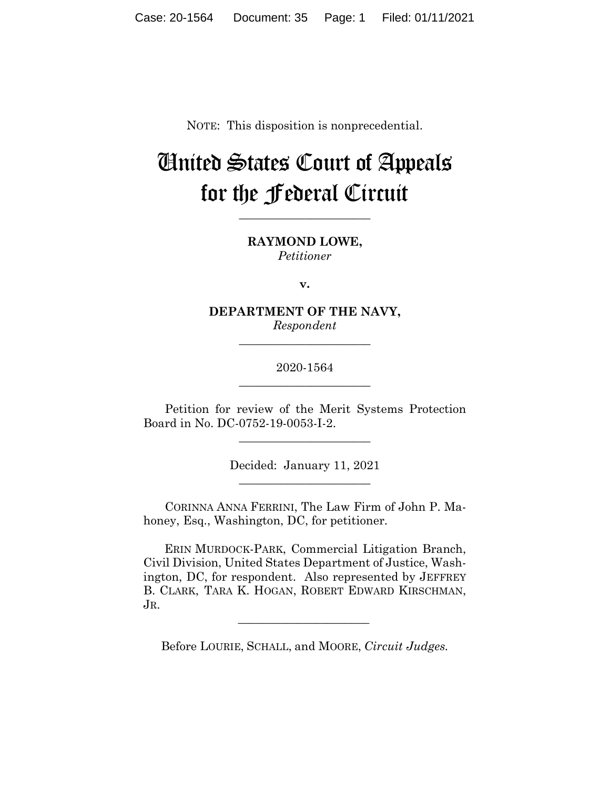NOTE: This disposition is nonprecedential.

# United States Court of Appeals for the Federal Circuit

**\_\_\_\_\_\_\_\_\_\_\_\_\_\_\_\_\_\_\_\_\_\_**

**RAYMOND LOWE,** *Petitioner*

**v.**

**DEPARTMENT OF THE NAVY,** *Respondent*

**\_\_\_\_\_\_\_\_\_\_\_\_\_\_\_\_\_\_\_\_\_\_**

2020-1564 **\_\_\_\_\_\_\_\_\_\_\_\_\_\_\_\_\_\_\_\_\_\_**

Petition for review of the Merit Systems Protection Board in No. DC-0752-19-0053-I-2.

\_\_\_\_\_\_\_\_\_\_\_\_\_\_\_\_\_\_\_\_\_\_

Decided: January 11, 2021 \_\_\_\_\_\_\_\_\_\_\_\_\_\_\_\_\_\_\_\_\_\_

CORINNA ANNA FERRINI, The Law Firm of John P. Mahoney, Esq., Washington, DC, for petitioner.

 ERIN MURDOCK-PARK, Commercial Litigation Branch, Civil Division, United States Department of Justice, Washington, DC, for respondent. Also represented by JEFFREY B. CLARK, TARA K. HOGAN, ROBERT EDWARD KIRSCHMAN, JR.

Before LOURIE, SCHALL, and MOORE, *Circuit Judges.*

 $\mathcal{L}_\text{max}$  and  $\mathcal{L}_\text{max}$  and  $\mathcal{L}_\text{max}$  and  $\mathcal{L}_\text{max}$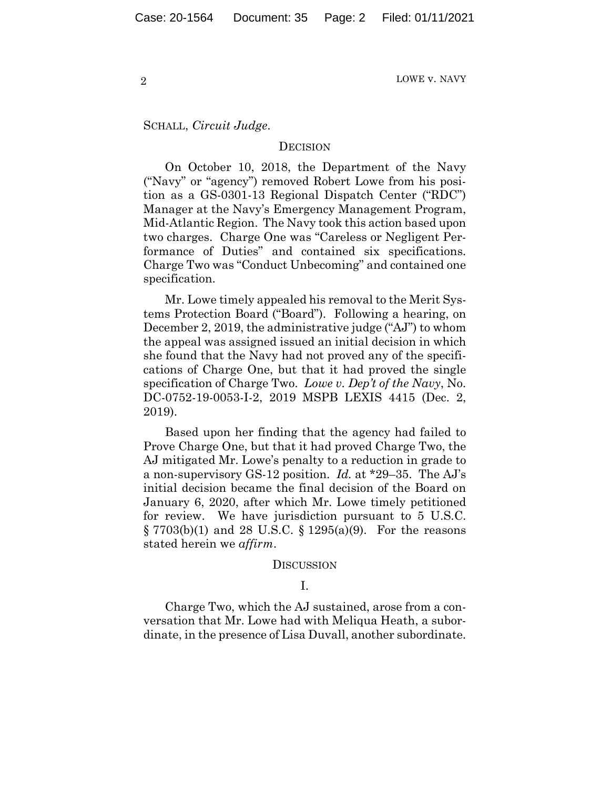SCHALL, *Circuit Judge*.

#### **DECISION**

On October 10, 2018, the Department of the Navy ("Navy" or "agency") removed Robert Lowe from his position as a GS-0301-13 Regional Dispatch Center ("RDC") Manager at the Navy's Emergency Management Program, Mid-Atlantic Region. The Navy took this action based upon two charges. Charge One was "Careless or Negligent Performance of Duties" and contained six specifications. Charge Two was "Conduct Unbecoming" and contained one specification.

Mr. Lowe timely appealed his removal to the Merit Systems Protection Board ("Board"). Following a hearing, on December 2, 2019, the administrative judge ("AJ") to whom the appeal was assigned issued an initial decision in which she found that the Navy had not proved any of the specifications of Charge One, but that it had proved the single specification of Charge Two. *Lowe v. Dep't of the Navy*, No. DC-0752-19-0053-I-2, 2019 MSPB LEXIS 4415 (Dec. 2, 2019).

Based upon her finding that the agency had failed to Prove Charge One, but that it had proved Charge Two, the AJ mitigated Mr. Lowe's penalty to a reduction in grade to a non-supervisory GS-12 position. *Id.* at \*29–35. The AJ's initial decision became the final decision of the Board on January 6, 2020, after which Mr. Lowe timely petitioned for review. We have jurisdiction pursuant to 5 U.S.C.  $\S 7703(b)(1)$  and 28 U.S.C.  $\S 1295(a)(9)$ . For the reasons stated herein we *affirm*.

#### **DISCUSSION**

## I.

Charge Two, which the AJ sustained, arose from a conversation that Mr. Lowe had with Meliqua Heath, a subordinate, in the presence of Lisa Duvall, another subordinate.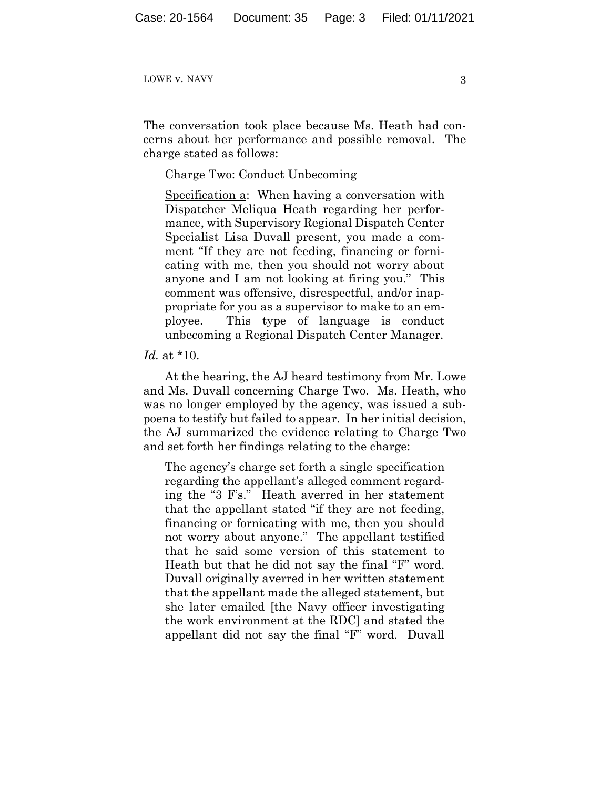The conversation took place because Ms. Heath had concerns about her performance and possible removal. The charge stated as follows:

## Charge Two: Conduct Unbecoming

Specification a: When having a conversation with Dispatcher Meliqua Heath regarding her performance, with Supervisory Regional Dispatch Center Specialist Lisa Duvall present, you made a comment "If they are not feeding, financing or fornicating with me, then you should not worry about anyone and I am not looking at firing you." This comment was offensive, disrespectful, and/or inappropriate for you as a supervisor to make to an employee. This type of language is conduct unbecoming a Regional Dispatch Center Manager.

#### *Id.* at \*10.

At the hearing, the AJ heard testimony from Mr. Lowe and Ms. Duvall concerning Charge Two. Ms. Heath, who was no longer employed by the agency, was issued a subpoena to testify but failed to appear. In her initial decision, the AJ summarized the evidence relating to Charge Two and set forth her findings relating to the charge:

The agency's charge set forth a single specification regarding the appellant's alleged comment regarding the "3 F's." Heath averred in her statement that the appellant stated "if they are not feeding, financing or fornicating with me, then you should not worry about anyone." The appellant testified that he said some version of this statement to Heath but that he did not say the final "F" word. Duvall originally averred in her written statement that the appellant made the alleged statement, but she later emailed [the Navy officer investigating the work environment at the RDC] and stated the appellant did not say the final "F" word. Duvall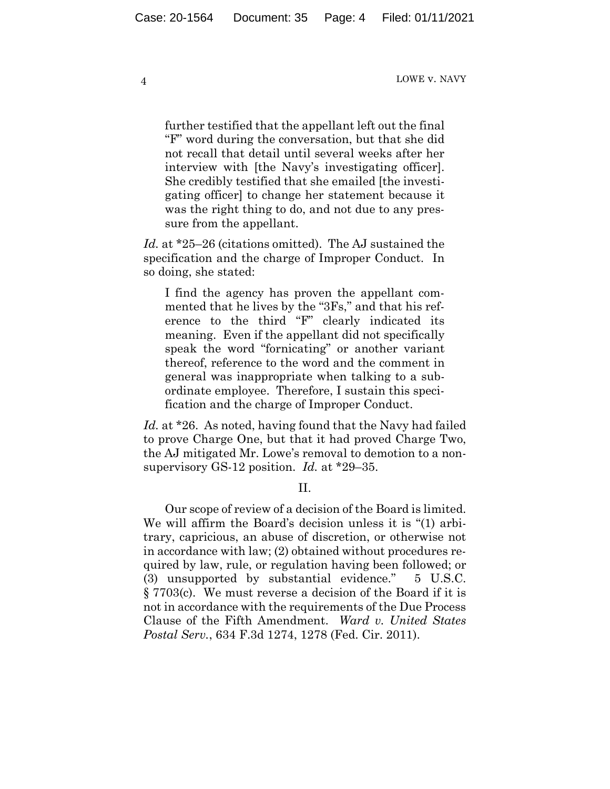further testified that the appellant left out the final "F" word during the conversation, but that she did not recall that detail until several weeks after her interview with [the Navy's investigating officer]. She credibly testified that she emailed [the investigating officer] to change her statement because it was the right thing to do, and not due to any pressure from the appellant.

*Id.* at \*25–26 (citations omitted). The AJ sustained the specification and the charge of Improper Conduct. In so doing, she stated:

I find the agency has proven the appellant commented that he lives by the "3Fs," and that his reference to the third "F" clearly indicated its meaning. Even if the appellant did not specifically speak the word "fornicating" or another variant thereof, reference to the word and the comment in general was inappropriate when talking to a subordinate employee. Therefore, I sustain this specification and the charge of Improper Conduct.

*Id.* at \*26. As noted, having found that the Navy had failed to prove Charge One, but that it had proved Charge Two, the AJ mitigated Mr. Lowe's removal to demotion to a nonsupervisory GS-12 position. *Id.* at \*29–35.

II.

Our scope of review of a decision of the Board is limited. We will affirm the Board's decision unless it is "(1) arbitrary, capricious, an abuse of discretion, or otherwise not in accordance with law; (2) obtained without procedures required by law, rule, or regulation having been followed; or (3) unsupported by substantial evidence." 5 U.S.C. § 7703(c). We must reverse a decision of the Board if it is not in accordance with the requirements of the Due Process Clause of the Fifth Amendment. *Ward v. United States Postal Serv.*, 634 F.3d 1274, 1278 (Fed. Cir. 2011).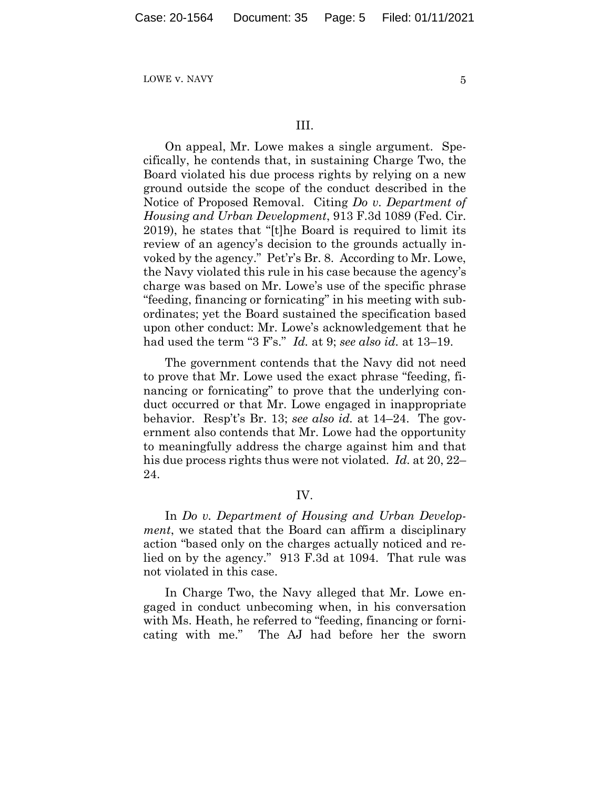#### III.

On appeal, Mr. Lowe makes a single argument. Specifically, he contends that, in sustaining Charge Two, the Board violated his due process rights by relying on a new ground outside the scope of the conduct described in the Notice of Proposed Removal. Citing *Do v. Department of Housing and Urban Development*, 913 F.3d 1089 (Fed. Cir. 2019), he states that "[t]he Board is required to limit its review of an agency's decision to the grounds actually invoked by the agency." Pet'r's Br. 8. According to Mr. Lowe, the Navy violated this rule in his case because the agency's charge was based on Mr. Lowe's use of the specific phrase "feeding, financing or fornicating" in his meeting with subordinates; yet the Board sustained the specification based upon other conduct: Mr. Lowe's acknowledgement that he had used the term "3 F's." *Id.* at 9; *see also id.* at 13–19.

The government contends that the Navy did not need to prove that Mr. Lowe used the exact phrase "feeding, financing or fornicating" to prove that the underlying conduct occurred or that Mr. Lowe engaged in inappropriate behavior. Resp't's Br. 13; *see also id.* at 14–24. The government also contends that Mr. Lowe had the opportunity to meaningfully address the charge against him and that his due process rights thus were not violated. *Id.* at 20, 22– 24.

## IV.

In *Do v. Department of Housing and Urban Development*, we stated that the Board can affirm a disciplinary action "based only on the charges actually noticed and relied on by the agency." 913 F.3d at 1094. That rule was not violated in this case.

In Charge Two, the Navy alleged that Mr. Lowe engaged in conduct unbecoming when, in his conversation with Ms. Heath, he referred to "feeding, financing or fornicating with me." The AJ had before her the sworn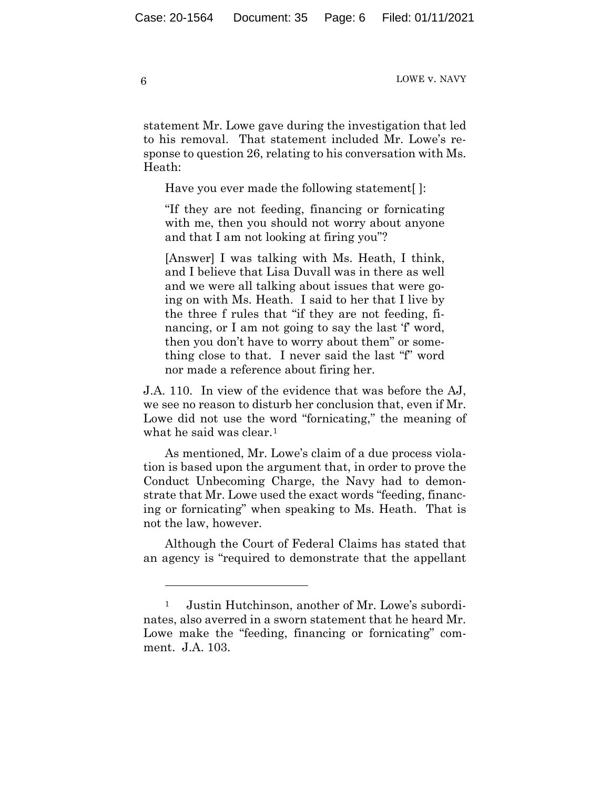statement Mr. Lowe gave during the investigation that led to his removal. That statement included Mr. Lowe's response to question 26, relating to his conversation with Ms. Heath:

Have you ever made the following statement[ ]:

"If they are not feeding, financing or fornicating with me, then you should not worry about anyone and that I am not looking at firing you"?

[Answer] I was talking with Ms. Heath, I think, and I believe that Lisa Duvall was in there as well and we were all talking about issues that were going on with Ms. Heath. I said to her that I live by the three f rules that "if they are not feeding, financing, or I am not going to say the last 'f' word, then you don't have to worry about them" or something close to that. I never said the last "f" word nor made a reference about firing her.

J.A. 110. In view of the evidence that was before the AJ, we see no reason to disturb her conclusion that, even if Mr. Lowe did not use the word "fornicating," the meaning of what he said was clear.<sup>1</sup>

As mentioned, Mr. Lowe's claim of a due process violation is based upon the argument that, in order to prove the Conduct Unbecoming Charge, the Navy had to demonstrate that Mr. Lowe used the exact words "feeding, financing or fornicating" when speaking to Ms. Heath. That is not the law, however.

Although the Court of Federal Claims has stated that an agency is "required to demonstrate that the appellant

<sup>1</sup> Justin Hutchinson, another of Mr. Lowe's subordinates, also averred in a sworn statement that he heard Mr. Lowe make the "feeding, financing or fornicating" comment. J.A. 103.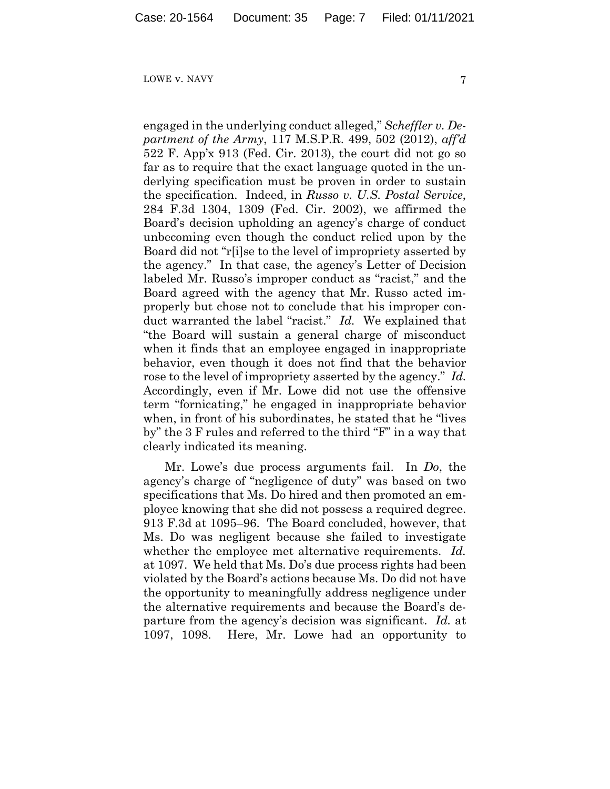engaged in the underlying conduct alleged," *Scheffler v. Department of the Army*, 117 M.S.P.R. 499, 502 (2012), *aff'd* 522 F. App'x 913 (Fed. Cir. 2013), the court did not go so far as to require that the exact language quoted in the underlying specification must be proven in order to sustain the specification. Indeed, in *Russo v. U.S. Postal Service*, 284 F.3d 1304, 1309 (Fed. Cir. 2002), we affirmed the Board's decision upholding an agency's charge of conduct unbecoming even though the conduct relied upon by the Board did not "r[i]se to the level of impropriety asserted by the agency." In that case, the agency's Letter of Decision labeled Mr. Russo's improper conduct as "racist," and the Board agreed with the agency that Mr. Russo acted improperly but chose not to conclude that his improper conduct warranted the label "racist." *Id.* We explained that "the Board will sustain a general charge of misconduct when it finds that an employee engaged in inappropriate behavior, even though it does not find that the behavior rose to the level of impropriety asserted by the agency." *Id.* Accordingly, even if Mr. Lowe did not use the offensive term "fornicating," he engaged in inappropriate behavior when, in front of his subordinates, he stated that he "lives by" the 3 F rules and referred to the third "F" in a way that clearly indicated its meaning.

Mr. Lowe's due process arguments fail. In *Do*, the agency's charge of "negligence of duty" was based on two specifications that Ms. Do hired and then promoted an employee knowing that she did not possess a required degree. 913 F.3d at 1095–96. The Board concluded, however, that Ms. Do was negligent because she failed to investigate whether the employee met alternative requirements. *Id.*  at 1097. We held that Ms. Do's due process rights had been violated by the Board's actions because Ms. Do did not have the opportunity to meaningfully address negligence under the alternative requirements and because the Board's departure from the agency's decision was significant. *Id.* at 1097, 1098. Here, Mr. Lowe had an opportunity to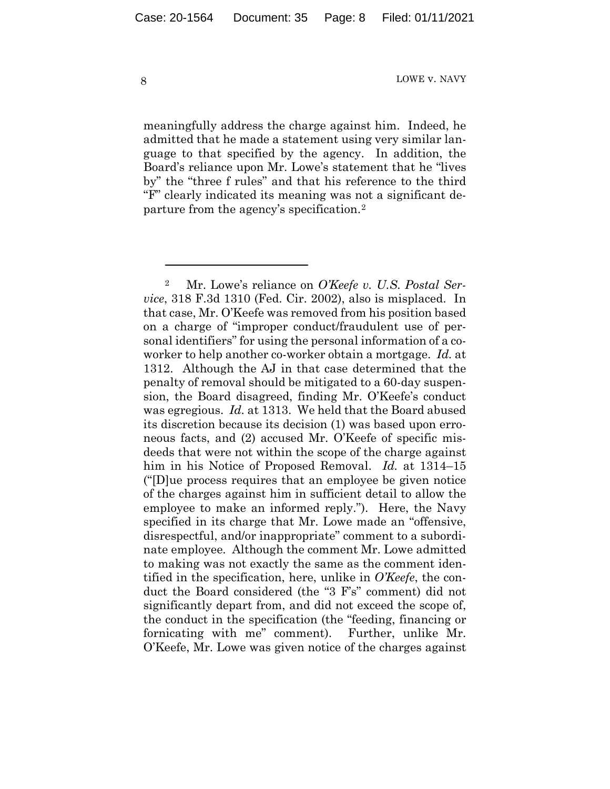meaningfully address the charge against him. Indeed, he admitted that he made a statement using very similar language to that specified by the agency. In addition, the Board's reliance upon Mr. Lowe's statement that he "lives by" the "three f rules" and that his reference to the third "F" clearly indicated its meaning was not a significant departure from the agency's specification.2

<sup>2</sup> Mr. Lowe's reliance on *O'Keefe v. U.S. Postal Service*, 318 F.3d 1310 (Fed. Cir. 2002), also is misplaced. In that case, Mr. O'Keefe was removed from his position based on a charge of "improper conduct/fraudulent use of personal identifiers" for using the personal information of a coworker to help another co-worker obtain a mortgage. *Id.* at 1312. Although the AJ in that case determined that the penalty of removal should be mitigated to a 60-day suspension, the Board disagreed, finding Mr. O'Keefe's conduct was egregious. *Id.* at 1313. We held that the Board abused its discretion because its decision (1) was based upon erroneous facts, and (2) accused Mr. O'Keefe of specific misdeeds that were not within the scope of the charge against him in his Notice of Proposed Removal. *Id.* at 1314–15 ("[D]ue process requires that an employee be given notice of the charges against him in sufficient detail to allow the employee to make an informed reply."). Here, the Navy specified in its charge that Mr. Lowe made an "offensive, disrespectful, and/or inappropriate" comment to a subordinate employee. Although the comment Mr. Lowe admitted to making was not exactly the same as the comment identified in the specification, here, unlike in *O'Keefe*, the conduct the Board considered (the "3 F's" comment) did not significantly depart from, and did not exceed the scope of, the conduct in the specification (the "feeding, financing or fornicating with me" comment). Further, unlike Mr. O'Keefe, Mr. Lowe was given notice of the charges against